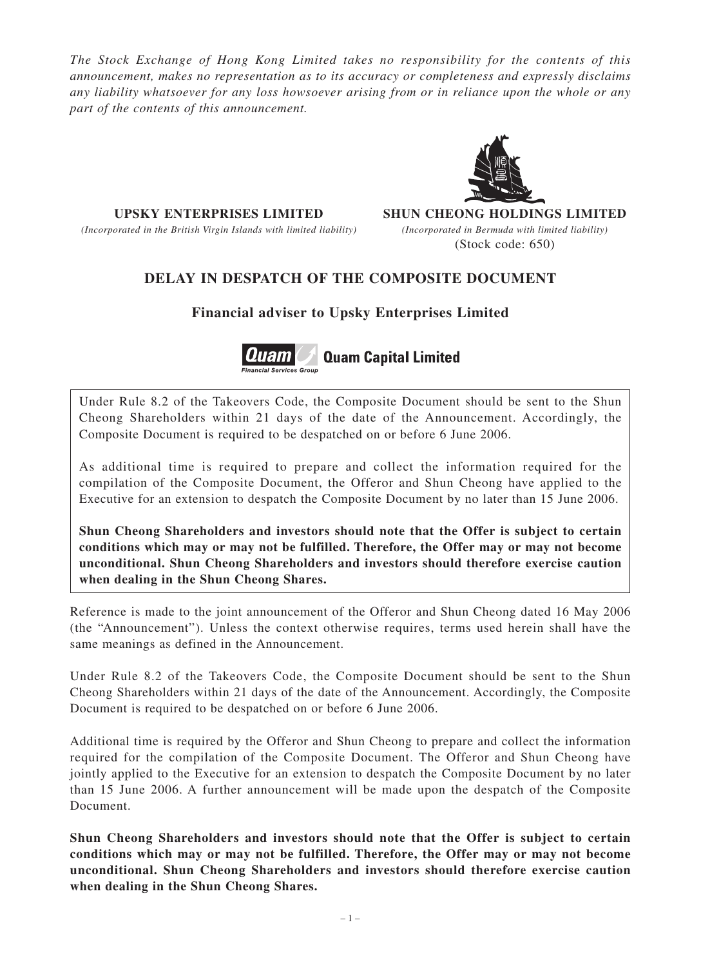*The Stock Exchange of Hong Kong Limited takes no responsibility for the contents of this announcement, makes no representation as to its accuracy or completeness and expressly disclaims any liability whatsoever for any loss howsoever arising from or in reliance upon the whole or any part of the contents of this announcement.*

*(Incorporated in the British Virgin Islands with limited liability) (Incorporated in Bermuda with limited liability)*

**UPSKY ENTERPRISES LIMITED SHUN CHEONG HOLDINGS LIMITED** (Stock code: 650)

## **DELAY IN DESPATCH OF THE COMPOSITE DOCUMENT**

**Financial adviser to Upsky Enterprises Limited**



Under Rule 8.2 of the Takeovers Code, the Composite Document should be sent to the Shun Cheong Shareholders within 21 days of the date of the Announcement. Accordingly, the Composite Document is required to be despatched on or before 6 June 2006.

As additional time is required to prepare and collect the information required for the compilation of the Composite Document, the Offeror and Shun Cheong have applied to the Executive for an extension to despatch the Composite Document by no later than 15 June 2006.

**Shun Cheong Shareholders and investors should note that the Offer is subject to certain conditions which may or may not be fulfilled. Therefore, the Offer may or may not become unconditional. Shun Cheong Shareholders and investors should therefore exercise caution when dealing in the Shun Cheong Shares.**

Reference is made to the joint announcement of the Offeror and Shun Cheong dated 16 May 2006 (the "Announcement"). Unless the context otherwise requires, terms used herein shall have the same meanings as defined in the Announcement.

Under Rule 8.2 of the Takeovers Code, the Composite Document should be sent to the Shun Cheong Shareholders within 21 days of the date of the Announcement. Accordingly, the Composite Document is required to be despatched on or before 6 June 2006.

Additional time is required by the Offeror and Shun Cheong to prepare and collect the information required for the compilation of the Composite Document. The Offeror and Shun Cheong have jointly applied to the Executive for an extension to despatch the Composite Document by no later than 15 June 2006. A further announcement will be made upon the despatch of the Composite Document.

**Shun Cheong Shareholders and investors should note that the Offer is subject to certain conditions which may or may not be fulfilled. Therefore, the Offer may or may not become unconditional. Shun Cheong Shareholders and investors should therefore exercise caution when dealing in the Shun Cheong Shares.**